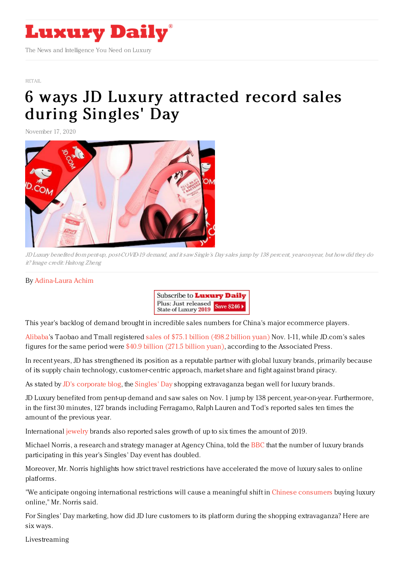

The News and Intelligence You Need on Luxury

[RETAIL](https://www.luxurydaily.com/category/sectors/retail-industry-sectors/)

# 6 ways JD Luxury [attracted](https://www.luxurydaily.com/6-ways-jd-luxury-attracted-record-sales-during-singles-day/) record sales during Singles' Day

November 17, 2020



JD Luxury benefited from pent-up, post-COVID-19 demand, and it saw Single's Day sales jump by 138 percent, year-on-year, but how did they do it? Image credit: Haitong Zheng

#### By [Adina-Laura](https://jingdaily.com/author/adina-laura/) Achim



This year's backlog of demand brought in incredible sales numbers for China's major ecommerce players.

[Alibaba](https://jingdaily.com/?s=Alibaba)'s Taobao and Tmall registered sales of \$75.1 [billion](https://www.msn.com/en-sg/money/companies/chinese-shoppers-spend-over-dollar100-billion-in-shopping-fest/ar-BB1aV3tR?ocid=msedgdhp) (498.2 billion yuan) Nov. 1-11, while JD.com's sales figures for the same period were \$40.9 [billion](https://jdcorporateblog.com/jd-reports-to-record-rmb-271-5-billion-singles-day-performance/) (271.5 billion yuan), according to the Associated Press.

In recent years, JD has strengthened its position as a reputable partner with global luxury brands, primarily because of its supply chain technology, customer-centric approach, market share and fight against brand piracy.

As stated by JD's [corporate](https://jdcorporateblog.com/day-1-singles-day-sales-see-90-yoy-growth/) blog, the [Singles'](https://jingdaily.com/alixpartners-double-11-singles-day-report/) Day shopping extravaganza began well for luxury brands.

JD Luxury benefited from pent-up demand and saw sales on Nov. 1 jump by 138 percent, year-on-year. Furthermore, in the first 30 minutes, 127 brands including Ferragamo, Ralph Lauren and Tod's reported sales ten times the amount of the previous year.

International [jewelry](https://jingdaily.com/niche-chinese-jewelry-brands-gen-z/) brands also reported sales growth of up to six times the amount of 2019.

Michael Norris, a research and strategy manager at Agency China, told the [BBC](https://www.bbc.com/news/business-54876524) that the number of luxury brands participating in this year's Singles' Day event has doubled.

Moreover, Mr. Norris highlights how strict travel restrictions have accelerated the move of luxury sales to online platforms.

"We anticipate ongoing international restrictions will cause a meaningful shift in Chinese [consumers](https://jingdaily.com/china-pride-chinese-consumers-kering-nike/) buying luxury online," Mr. Norris said.

For Singles' Day marketing, how did JD lure customers to its platform during the shopping extravaganza? Here are six ways.

Livestreaming